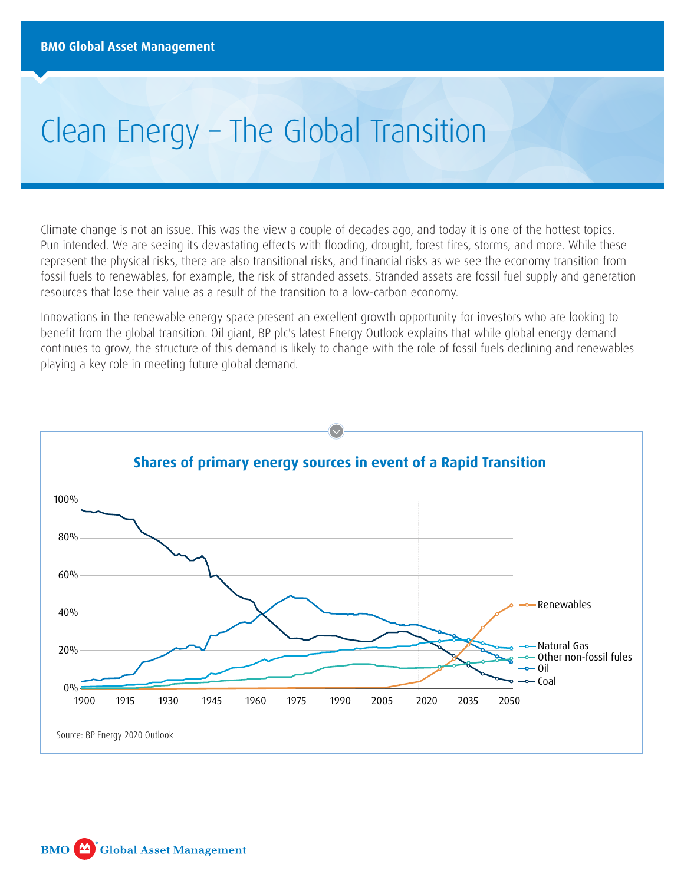# Clean Energy – The Global Transition

Climate change is not an issue. This was the view a couple of decades ago, and today it is one of the hottest topics. Pun intended. We are seeing its devastating effects with flooding, drought, forest fires, storms, and more. While these represent the physical risks, there are also transitional risks, and financial risks as we see the economy transition from fossil fuels to renewables, for example, the risk of stranded assets. Stranded assets are fossil fuel supply and generation resources that lose their value as a result of the transition to a low-carbon economy.

Innovations in the renewable energy space present an excellent growth opportunity for investors who are looking to benefit from the global transition. Oil giant, BP plc's latest Energy Outlook explains that while global energy demand continues to grow, the structure of this demand is likely to change with the role of fossil fuels declining and renewables playing a key role in meeting future global demand.

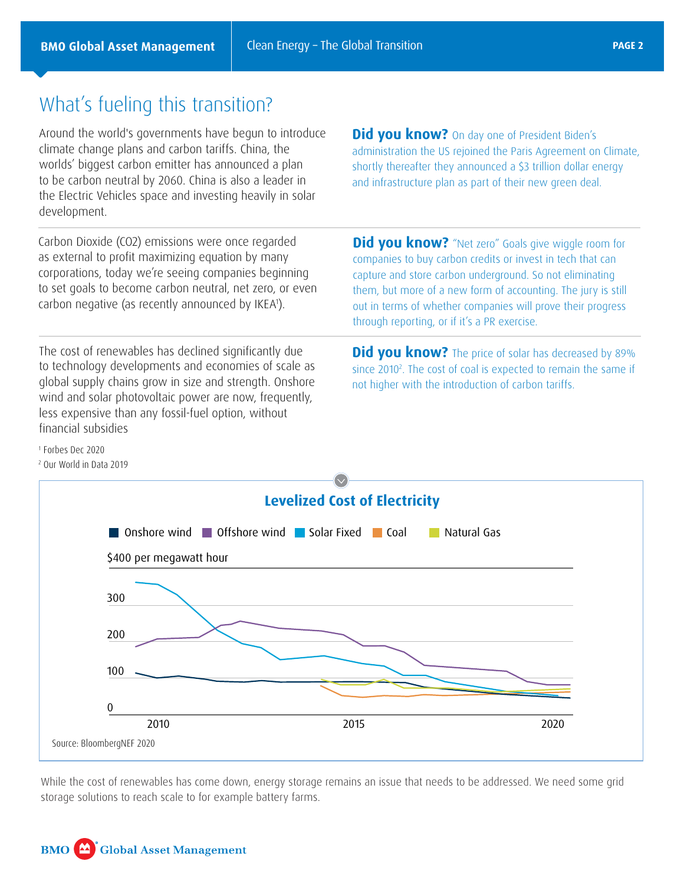## What's fueling this transition?

Around the world's governments have begun to introduce climate change plans and carbon tariffs. China, the worlds' biggest carbon emitter has announced a plan to be carbon neutral by 2060. China is also a leader in the Electric Vehicles space and investing heavily in solar development.

Carbon Dioxide (CO2) emissions were once regarded as external to profit maximizing equation by many corporations, today we're seeing companies beginning to set goals to become carbon neutral, net zero, or even carbon negative (as recently announced by IKEA1 ).

The cost of renewables has declined significantly due to technology developments and economies of scale as global supply chains grow in size and strength. Onshore wind and solar photovoltaic power are now, frequently, less expensive than any fossil-fuel option, without financial subsidies

**Did you know?** "Net zero" Goals give wiggle room for companies to buy carbon credits or invest in tech that can capture and store carbon underground. So not eliminating them, but more of a new form of accounting. The jury is still out in terms of whether companies will prove their progress through reporting, or if it's a PR exercise.

**Did you know?** On day one of President Biden's

administration the US rejoined the Paris Agreement on Climate, shortly thereafter they announced a \$3 trillion dollar energy and infrastructure plan as part of their new green deal.

**Did you know?** The price of solar has decreased by 89% since 2010<sup>2</sup>. The cost of coal is expected to remain the same if not higher with the introduction of carbon tariffs.

1 Forbes Dec 2020

2 Our World in Data 2019



While the cost of renewables has come down, energy storage remains an issue that needs to be addressed. We need some grid storage solutions to reach scale to for example battery farms.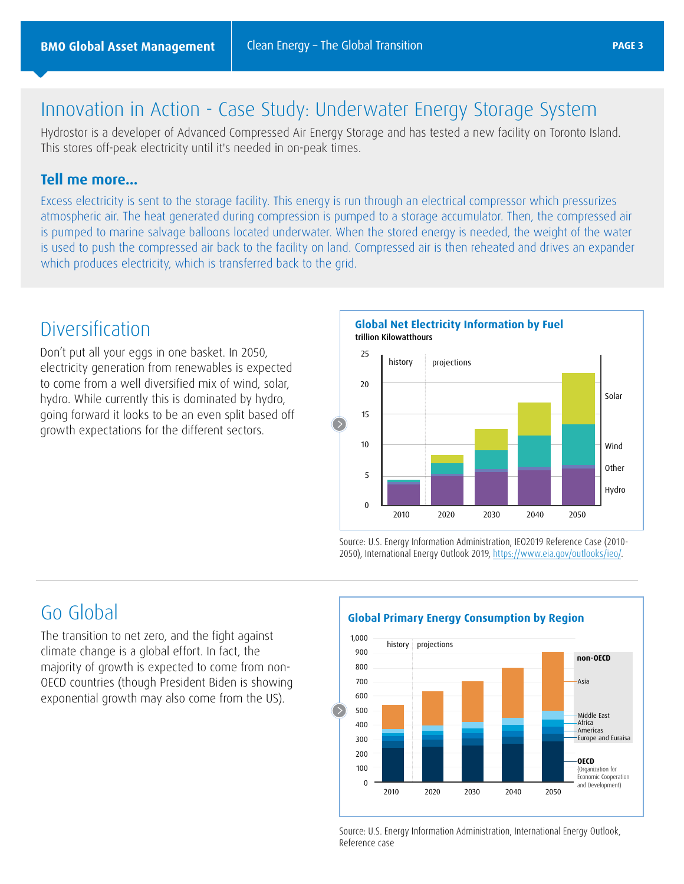## Innovation in Action - Case Study: Underwater Energy Storage System

Hydrostor is a developer of Advanced Compressed Air Energy Storage and has tested a new facility on Toronto Island. This stores off-peak electricity until it's needed in on-peak times.

#### **Tell me more…**

Excess electricity is sent to the storage facility. This energy is run through an electrical compressor which pressurizes atmospheric air. The heat generated during compression is pumped to a storage accumulator. Then, the compressed air is pumped to marine salvage balloons located underwater. When the stored energy is needed, the weight of the water is used to push the compressed air back to the facility on land. Compressed air is then reheated and drives an expander which produces electricity, which is transferred back to the grid.

## Diversification

Don't put all your eggs in one basket. In 2050, electricity generation from renewables is expected to come from a well diversified mix of wind, solar, hydro. While currently this is dominated by hydro, going forward it looks to be an even split based off growth expectations for the different sectors.

25 trillion Kilowatthours **Global Net Electricity Information by Fuel**



Source: U.S. Energy Information Administration, IEO2019 Reference Case (2010- 2050), International Energy Outlook 2019, <https://www.eia.gov/outlooks/ieo/>.

## Go Global

The transition to net zero, and the fight against climate change is a global effort. In fact, the majority of growth is expected to come from non-OECD countries (though President Biden is showing exponential growth may also come from the US).

### **Global Primary Energy Consumption by Region**



Source: U.S. Energy Information Administration, International Energy Outlook, Reference case